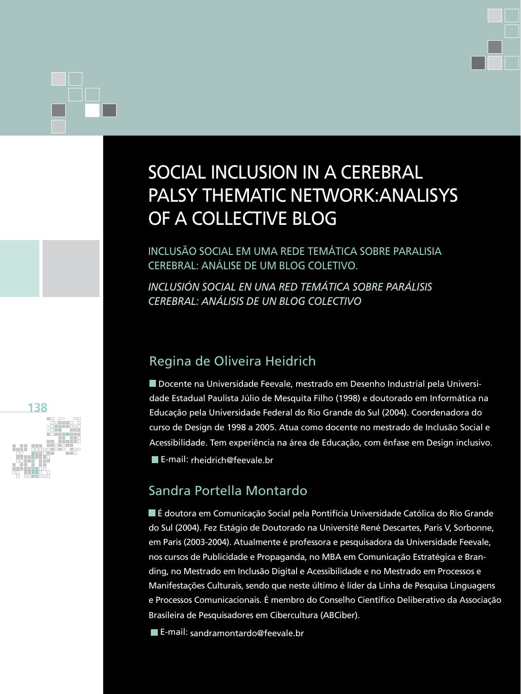# social inclusion in a cerebral palsy thematic network:analisys of a collective blog

Inclusão social em uma rede temática sobre paralisia cerebral: análise de um blog coletivo.

*inclusión Social en una red temática sobre parÁlisis cerebral: análisis de un blog colectivo*

## Regina de Oliveira Heidrich

Docente na Universidade Feevale, mestrado em Desenho Industrial pela Universidade Estadual Paulista Júlio de Mesquita Filho (1998) e doutorado em Informática na Educação pela Universidade Federal do Rio Grande do Sul (2004). Coordenadora do curso de Design de 1998 a 2005. Atua como docente no mestrado de Inclusão Social e Acessibilidade. Tem experiência na área de Educação, com ênfase em Design inclusivo. ■ E-mail: rheidrich@feevale.br

## Sandra Portella Montardo

É doutora em Comunicação Social pela Pontifícia Universidade Católica do Rio Grande do Sul (2004). Fez Estágio de Doutorado na Université René Descartes, Paris V, Sorbonne, em Paris (2003-2004). Atualmente é professora e pesquisadora da Universidade Feevale, nos cursos de Publicidade e Propaganda, no MBA em Comunicação Estratégica e Branding, no Mestrado em Inclusão Digital e Acessibilidade e no Mestrado em Processos e Manifestações Culturais, sendo que neste último é líder da Linha de Pesquisa Linguagens e Processos Comunicacionais. É membro do Conselho Científico Deliberativo da Associação Brasileira de Pesquisadores em Cibercultura (ABCiber).

■ E-mail: sandramontardo@feevale.br

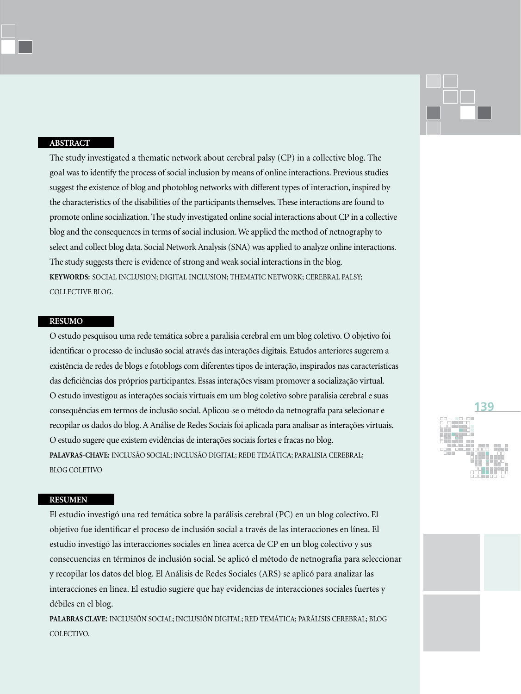## **ABSTRACT**

The study investigated a thematic network about cerebral palsy (CP) in a collective blog. The goal was to identify the process of social inclusion by means of online interactions. Previous studies suggest the existence of blog and photoblog networks with different types of interaction, inspired by the characteristics of the disabilities of the participants themselves. These interactions are found to promote online socialization. The study investigated online social interactions about CP in a collective blog and the consequences in terms of social inclusion. We applied the method of netnography to select and collect blog data. Social Network Analysis (SNA) was applied to analyze online interactions. The study suggests there is evidence of strong and weak social interactions in the blog. **Keywords:** Social inclusion; Digital inclusion; Thematic network; Cerebral palsy; Collective blog.

### **RESUMO**

O estudo pesquisou uma rede temática sobre a paralisia cerebral em um blog coletivo. O objetivo foi identificar o processo de inclusão social através das interações digitais. Estudos anteriores sugerem a existência de redes de blogs e fotoblogs com diferentes tipos de interação, inspirados nas características das deficiências dos próprios participantes. Essas interações visam promover a socialização virtual. O estudo investigou as interações sociais virtuais em um blog coletivo sobre paralisia cerebral e suas consequências em termos de inclusão social. Aplicou-se o método da netnografía para selecionar e recopilar os dados do blog. A Análise de Redes Sociais foi aplicada para analisar as interações virtuais. O estudo sugere que existem evidências de interações sociais fortes e fracas no blog. **Palavras-chave:** inclusão social; inclusão digital; rede temática; paralisia cerebral; blog coletivo

#### **RESUMEN**

El estudio investigó una red temática sobre la parálisis cerebral (PC) en un blog colectivo. El objetivo fue identificar el proceso de inclusión social a través de las interacciones en línea. El estudio investigó las interacciones sociales en línea acerca de CP en un blog colectivo y sus consecuencias en términos de inclusión social. Se aplicó el método de netnografía para seleccionar y recopilar los datos del blog. El Análisis de Redes Sociales (ARS) se aplicó para analizar las interacciones en línea. El estudio sugiere que hay evidencias de interacciones sociales fuertes y débiles en el blog.

**Palabras clave**: Inclusión Social; Inclusión Digital; Red Temática; Parálisis Cerebral; Blog COLECTIVO.

# **139**

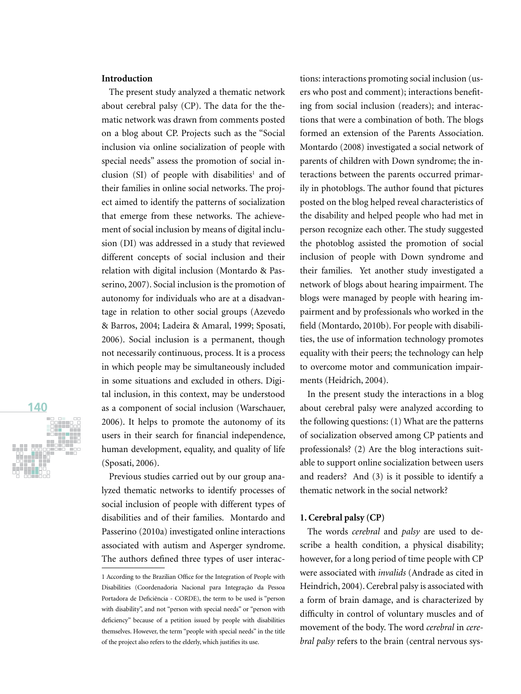## **Introduction**

The present study analyzed a thematic network about cerebral palsy (CP). The data for the thematic network was drawn from comments posted on a blog about CP. Projects such as the "Social inclusion via online socialization of people with special needs" assess the promotion of social inclusion  $(SI)$  of people with disabilities<sup>1</sup> and of their families in online social networks. The project aimed to identify the patterns of socialization that emerge from these networks. The achievement of social inclusion by means of digital inclusion (DI) was addressed in a study that reviewed different concepts of social inclusion and their relation with digital inclusion (Montardo & Passerino, 2007). Social inclusion is the promotion of autonomy for individuals who are at a disadvantage in relation to other social groups (Azevedo & Barros, 2004; Ladeira & Amaral, 1999; Sposati, 2006). Social inclusion is a permanent, though not necessarily continuous, process. It is a process in which people may be simultaneously included in some situations and excluded in others. Digital inclusion, in this context, may be understood as a component of social inclusion (Warschauer, 2006). It helps to promote the autonomy of its users in their search for financial independence, human development, equality, and quality of life (Sposati, 2006).

Previous studies carried out by our group analyzed thematic networks to identify processes of social inclusion of people with different types of disabilities and of their families. Montardo and Passerino (2010a) investigated online interactions associated with autism and Asperger syndrome. The authors defined three types of user interac-

tions: interactions promoting social inclusion (users who post and comment); interactions benefiting from social inclusion (readers); and interactions that were a combination of both. The blogs formed an extension of the Parents Association. Montardo (2008) investigated a social network of parents of children with Down syndrome; the interactions between the parents occurred primarily in photoblogs. The author found that pictures posted on the blog helped reveal characteristics of the disability and helped people who had met in person recognize each other. The study suggested the photoblog assisted the promotion of social inclusion of people with Down syndrome and their families. Yet another study investigated a network of blogs about hearing impairment. The blogs were managed by people with hearing impairment and by professionals who worked in the field (Montardo, 2010b). For people with disabilities, the use of information technology promotes equality with their peers; the technology can help to overcome motor and communication impairments (Heidrich, 2004).

In the present study the interactions in a blog about cerebral palsy were analyzed according to the following questions: (1) What are the patterns of socialization observed among CP patients and professionals? (2) Are the blog interactions suitable to support online socialization between users and readers? And (3) is it possible to identify a thematic network in the social network?

#### **1. Cerebral palsy (CP)**

The words *cerebral* and *palsy* are used to describe a health condition, a physical disability; however, for a long period of time people with CP were associated with *invalids* (Andrade as cited in Heindrich, 2004). Cerebral palsy is associated with a form of brain damage, and is characterized by difficulty in control of voluntary muscles and of movement of the body. The word *cerebral* in *cerebral palsy* refers to the brain (central nervous sys-



<sup>1</sup> According to the Brazilian Office for the Integration of People with Disabilities (Coordenadoria Nacional para Integração da Pessoa Portadora de Deficiência - CORDE), the term to be used is "person with disability", and not "person with special needs" or "person with deficiency" because of a petition issued by people with disabilities themselves. However, the term "people with special needs" in the title of the project also refers to the elderly, which justifies its use.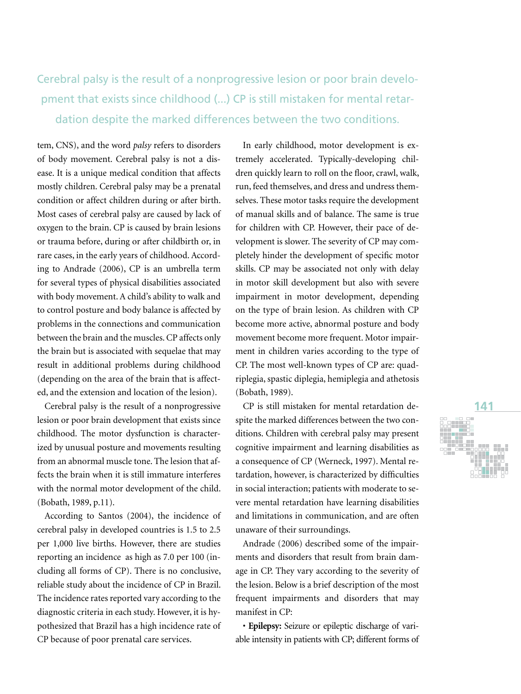# Cerebral palsy is the result of a nonprogressive lesion or poor brain development that exists since childhood (...) CP is still mistaken for mental retardation despite the marked differences between the two conditions.

tem, CNS), and the word *palsy* refers to disorders of body movement. Cerebral palsy is not a disease. It is a unique medical condition that affects mostly children. Cerebral palsy may be a prenatal condition or affect children during or after birth. Most cases of cerebral palsy are caused by lack of oxygen to the brain. CP is caused by brain lesions or trauma before, during or after childbirth or, in rare cases, in the early years of childhood. According to Andrade (2006), CP is an umbrella term for several types of physical disabilities associated with body movement. A child's ability to walk and to control posture and body balance is affected by problems in the connections and communication between the brain and the muscles. CP affects only the brain but is associated with sequelae that may result in additional problems during childhood (depending on the area of the brain that is affected, and the extension and location of the lesion).

Cerebral palsy is the result of a nonprogressive lesion or poor brain development that exists since childhood. The motor dysfunction is characterized by unusual posture and movements resulting from an abnormal muscle tone. The lesion that affects the brain when it is still immature interferes with the normal motor development of the child. (Bobath, 1989, p.11).

According to Santos (2004), the incidence of cerebral palsy in developed countries is 1.5 to 2.5 per 1,000 live births. However, there are studies reporting an incidence as high as 7.0 per 100 (including all forms of CP). There is no conclusive, reliable study about the incidence of CP in Brazil. The incidence rates reported vary according to the diagnostic criteria in each study. However, it is hypothesized that Brazil has a high incidence rate of CP because of poor prenatal care services.

In early childhood, motor development is extremely accelerated. Typically-developing children quickly learn to roll on the floor, crawl, walk, run, feed themselves, and dress and undress themselves. These motor tasks require the development of manual skills and of balance. The same is true for children with CP. However, their pace of development is slower. The severity of CP may completely hinder the development of specific motor skills. CP may be associated not only with delay in motor skill development but also with severe impairment in motor development, depending on the type of brain lesion. As children with CP become more active, abnormal posture and body movement become more frequent. Motor impairment in children varies according to the type of CP. The most well-known types of CP are: quadriplegia, spastic diplegia, hemiplegia and athetosis (Bobath, 1989).

CP is still mistaken for mental retardation despite the marked differences between the two conditions. Children with cerebral palsy may present cognitive impairment and learning disabilities as a consequence of CP (Werneck, 1997). Mental retardation, however, is characterized by difficulties in social interaction; patients with moderate to severe mental retardation have learning disabilities and limitations in communication, and are often unaware of their surroundings.

Andrade (2006) described some of the impairments and disorders that result from brain damage in CP. They vary according to the severity of the lesion. Below is a brief description of the most frequent impairments and disorders that may manifest in CP:

• **Epilepsy:** Seizure or epileptic discharge of variable intensity in patients with CP; different forms of

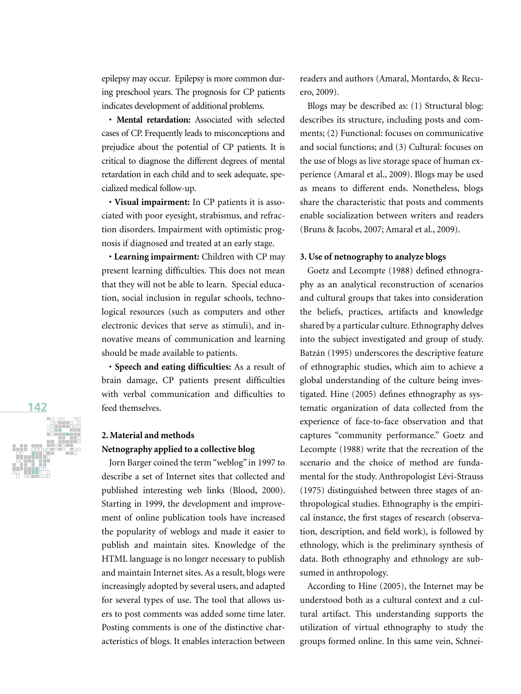epilepsy may occur. Epilepsy is more common during preschool years. The prognosis for CP patients indicates development of additional problems.

• **Mental retardation:** Associated with selected cases of CP. Frequently leads to misconceptions and prejudice about the potential of CP patients. It is critical to diagnose the different degrees of mental retardation in each child and to seek adequate, specialized medical follow-up.

• **Visual impairment:** In CP patients it is associated with poor eyesight, strabismus, and refraction disorders. Impairment with optimistic prognosis if diagnosed and treated at an early stage.

• **Learning impairment:** Children with CP may present learning difficulties. This does not mean that they will not be able to learn. Special education, social inclusion in regular schools, technological resources (such as computers and other electronic devices that serve as stimuli), and innovative means of communication and learning should be made available to patients.

• **Speech and eating difficulties:** As a result of brain damage, CP patients present difficulties with verbal communication and difficulties to feed themselves.

## **2. Material and methods Netnography applied to a collective blog**

Jorn Barger coined the term "weblog" in 1997 to describe a set of Internet sites that collected and published interesting web links (Blood, 2000). Starting in 1999, the development and improvement of online publication tools have increased the popularity of weblogs and made it easier to publish and maintain sites. Knowledge of the HTML language is no longer necessary to publish and maintain Internet sites. As a result, blogs were increasingly adopted by several users, and adapted for several types of use. The tool that allows users to post comments was added some time later. Posting comments is one of the distinctive characteristics of blogs. It enables interaction between

readers and authors (Amaral, Montardo, & Recuero, 2009).

Blogs may be described as: (1) Structural blog: describes its structure, including posts and comments; (2) Functional: focuses on communicative and social functions; and (3) Cultural: focuses on the use of blogs as live storage space of human experience (Amaral et al., 2009). Blogs may be used as means to different ends. Nonetheless, blogs share the characteristic that posts and comments enable socialization between writers and readers (Bruns & Jacobs, 2007; Amaral et al., 2009).

## **3. Use of netnography to analyze blogs**

Goetz and Lecompte (1988) defined ethnography as an analytical reconstruction of scenarios and cultural groups that takes into consideration the beliefs, practices, artifacts and knowledge shared by a particular culture. Ethnography delves into the subject investigated and group of study. Batzán (1995) underscores the descriptive feature of ethnographic studies, which aim to achieve a global understanding of the culture being investigated. Hine (2005) defines ethnography as systematic organization of data collected from the experience of face-to-face observation and that captures "community performance." Goetz and Lecompte (1988) write that the recreation of the scenario and the choice of method are fundamental for the study. Anthropologist Lévi-Strauss (1975) distinguished between three stages of anthropological studies. Ethnography is the empirical instance, the first stages of research (observation, description, and field work), is followed by ethnology, which is the preliminary synthesis of data. Both ethnography and ethnology are subsumed in anthropology.

According to Hine (2005), the Internet may be understood both as a cultural context and a cultural artifact. This understanding supports the utilization of virtual ethnography to study the groups formed online. In this same vein, Schnei-

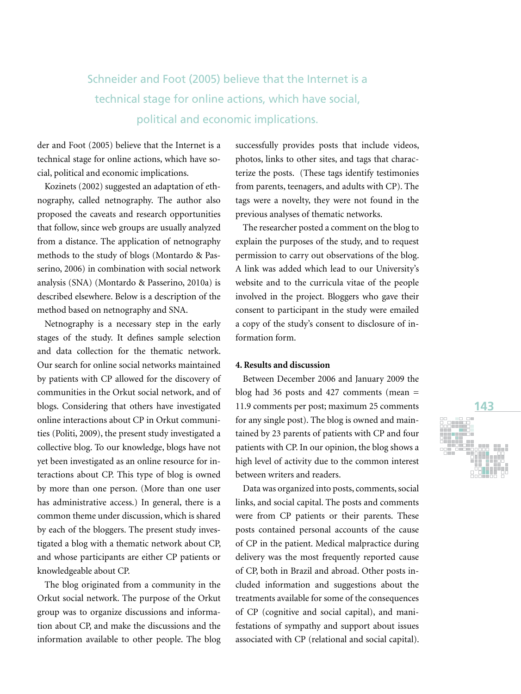# Schneider and Foot (2005) believe that the Internet is a technical stage for online actions, which have social, political and economic implications.

der and Foot (2005) believe that the Internet is a technical stage for online actions, which have social, political and economic implications.

Kozinets (2002) suggested an adaptation of ethnography, called netnography. The author also proposed the caveats and research opportunities that follow, since web groups are usually analyzed from a distance. The application of netnography methods to the study of blogs (Montardo & Passerino, 2006) in combination with social network analysis (SNA) (Montardo & Passerino, 2010a) is described elsewhere. Below is a description of the method based on netnography and SNA.

Netnography is a necessary step in the early stages of the study. It defines sample selection and data collection for the thematic network. Our search for online social networks maintained by patients with CP allowed for the discovery of communities in the Orkut social network, and of blogs. Considering that others have investigated online interactions about CP in Orkut communities (Politi, 2009), the present study investigated a collective blog. To our knowledge, blogs have not yet been investigated as an online resource for interactions about CP. This type of blog is owned by more than one person. (More than one user has administrative access.) In general, there is a common theme under discussion, which is shared by each of the bloggers. The present study investigated a blog with a thematic network about CP, and whose participants are either CP patients or knowledgeable about CP.

The blog originated from a community in the Orkut social network. The purpose of the Orkut group was to organize discussions and information about CP, and make the discussions and the information available to other people. The blog successfully provides posts that include videos, photos, links to other sites, and tags that characterize the posts. (These tags identify testimonies from parents, teenagers, and adults with CP). The tags were a novelty, they were not found in the previous analyses of thematic networks.

The researcher posted a comment on the blog to explain the purposes of the study, and to request permission to carry out observations of the blog. A link was added which lead to our University's website and to the curricula vitae of the people involved in the project. Bloggers who gave their consent to participant in the study were emailed a copy of the study's consent to disclosure of information form.

### **4. Results and discussion**

Between December 2006 and January 2009 the blog had 36 posts and 427 comments (mean = 11.9 comments per post; maximum 25 comments for any single post). The blog is owned and maintained by 23 parents of patients with CP and four patients with CP. In our opinion, the blog shows a high level of activity due to the common interest between writers and readers.

Data was organized into posts, comments, social links, and social capital. The posts and comments were from CP patients or their parents. These posts contained personal accounts of the cause of CP in the patient. Medical malpractice during delivery was the most frequently reported cause of CP, both in Brazil and abroad. Other posts included information and suggestions about the treatments available for some of the consequences of CP (cognitive and social capital), and manifestations of sympathy and support about issues associated with CP (relational and social capital).

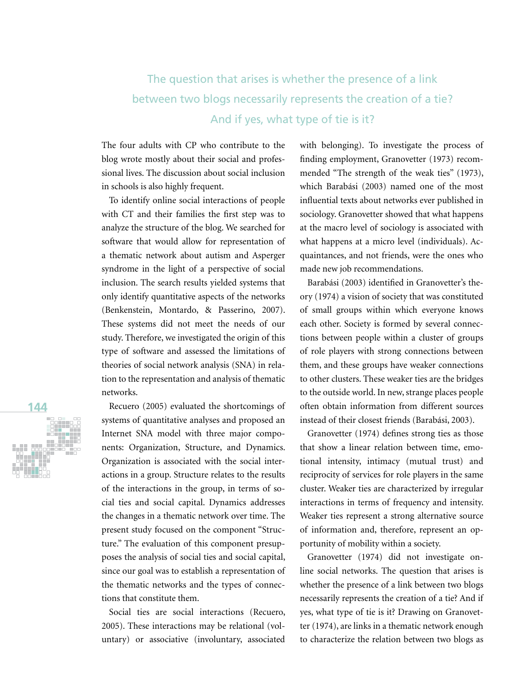# The question that arises is whether the presence of a link between two blogs necessarily represents the creation of a tie? And if yes, what type of tie is it?

The four adults with CP who contribute to the blog wrote mostly about their social and professional lives. The discussion about social inclusion in schools is also highly frequent.

To identify online social interactions of people with CT and their families the first step was to analyze the structure of the blog. We searched for software that would allow for representation of a thematic network about autism and Asperger syndrome in the light of a perspective of social inclusion. The search results yielded systems that only identify quantitative aspects of the networks (Benkenstein, Montardo, & Passerino, 2007). These systems did not meet the needs of our study. Therefore, we investigated the origin of this type of software and assessed the limitations of theories of social network analysis (SNA) in relation to the representation and analysis of thematic networks.

Recuero (2005) evaluated the shortcomings of systems of quantitative analyses and proposed an Internet SNA model with three major components: Organization, Structure, and Dynamics. Organization is associated with the social interactions in a group. Structure relates to the results of the interactions in the group, in terms of social ties and social capital. Dynamics addresses the changes in a thematic network over time. The present study focused on the component "Structure." The evaluation of this component presupposes the analysis of social ties and social capital, since our goal was to establish a representation of the thematic networks and the types of connections that constitute them.

Social ties are social interactions (Recuero, 2005). These interactions may be relational (voluntary) or associative (involuntary, associated with belonging). To investigate the process of finding employment, Granovetter (1973) recommended "The strength of the weak ties" (1973), which Barabási (2003) named one of the most influential texts about networks ever published in sociology. Granovetter showed that what happens at the macro level of sociology is associated with what happens at a micro level (individuals). Acquaintances, and not friends, were the ones who made new job recommendations.

Barabási (2003) identified in Granovetter's theory (1974) a vision of society that was constituted of small groups within which everyone knows each other. Society is formed by several connections between people within a cluster of groups of role players with strong connections between them, and these groups have weaker connections to other clusters. These weaker ties are the bridges to the outside world. In new, strange places people often obtain information from different sources instead of their closest friends (Barabási, 2003).

Granovetter (1974) defines strong ties as those that show a linear relation between time, emotional intensity, intimacy (mutual trust) and reciprocity of services for role players in the same cluster. Weaker ties are characterized by irregular interactions in terms of frequency and intensity. Weaker ties represent a strong alternative source of information and, therefore, represent an opportunity of mobility within a society.

Granovetter (1974) did not investigate online social networks. The question that arises is whether the presence of a link between two blogs necessarily represents the creation of a tie? And if yes, what type of tie is it? Drawing on Granovetter (1974), are links in a thematic network enough to characterize the relation between two blogs as

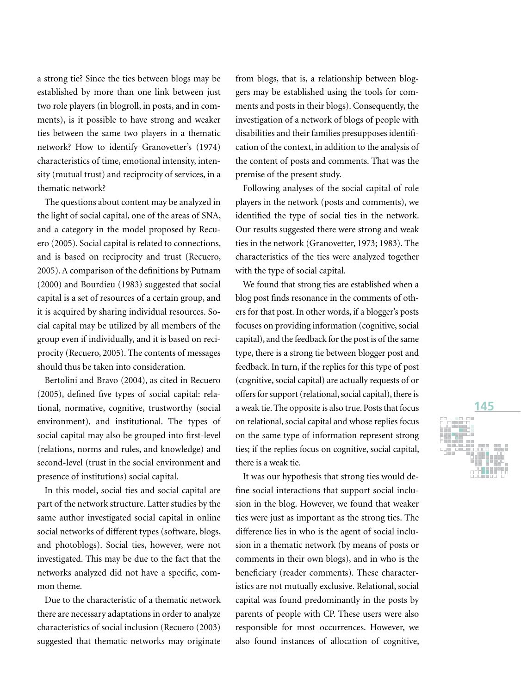a strong tie? Since the ties between blogs may be established by more than one link between just two role players (in blogroll, in posts, and in comments), is it possible to have strong and weaker ties between the same two players in a thematic network? How to identify Granovetter's (1974) characteristics of time, emotional intensity, intensity (mutual trust) and reciprocity of services, in a thematic network?

The questions about content may be analyzed in the light of social capital, one of the areas of SNA, and a category in the model proposed by Recuero (2005). Social capital is related to connections, and is based on reciprocity and trust (Recuero, 2005). A comparison of the definitions by Putnam (2000) and Bourdieu (1983) suggested that social capital is a set of resources of a certain group, and it is acquired by sharing individual resources. Social capital may be utilized by all members of the group even if individually, and it is based on reciprocity (Recuero, 2005). The contents of messages should thus be taken into consideration.

Bertolini and Bravo (2004), as cited in Recuero (2005), defined five types of social capital: relational, normative, cognitive, trustworthy (social environment), and institutional. The types of social capital may also be grouped into first-level (relations, norms and rules, and knowledge) and second-level (trust in the social environment and presence of institutions) social capital.

In this model, social ties and social capital are part of the network structure. Latter studies by the same author investigated social capital in online social networks of different types (software, blogs, and photoblogs). Social ties, however, were not investigated. This may be due to the fact that the networks analyzed did not have a specific, common theme.

Due to the characteristic of a thematic network there are necessary adaptations in order to analyze characteristics of social inclusion (Recuero (2003) suggested that thematic networks may originate

from blogs, that is, a relationship between bloggers may be established using the tools for comments and posts in their blogs). Consequently, the investigation of a network of blogs of people with disabilities and their families presupposes identification of the context, in addition to the analysis of the content of posts and comments. That was the premise of the present study.

Following analyses of the social capital of role players in the network (posts and comments), we identified the type of social ties in the network. Our results suggested there were strong and weak ties in the network (Granovetter, 1973; 1983). The characteristics of the ties were analyzed together with the type of social capital.

We found that strong ties are established when a blog post finds resonance in the comments of others for that post. In other words, if a blogger's posts focuses on providing information (cognitive, social capital), and the feedback for the post is of the same type, there is a strong tie between blogger post and feedback. In turn, if the replies for this type of post (cognitive, social capital) are actually requests of or offers for support (relational, social capital), there is a weak tie. The opposite is also true. Posts that focus on relational, social capital and whose replies focus on the same type of information represent strong ties; if the replies focus on cognitive, social capital, there is a weak tie.

It was our hypothesis that strong ties would define social interactions that support social inclusion in the blog. However, we found that weaker ties were just as important as the strong ties. The difference lies in who is the agent of social inclusion in a thematic network (by means of posts or comments in their own blogs), and in who is the beneficiary (reader comments). These characteristics are not mutually exclusive. Relational, social capital was found predominantly in the posts by parents of people with CP. These users were also responsible for most occurrences. However, we also found instances of allocation of cognitive,

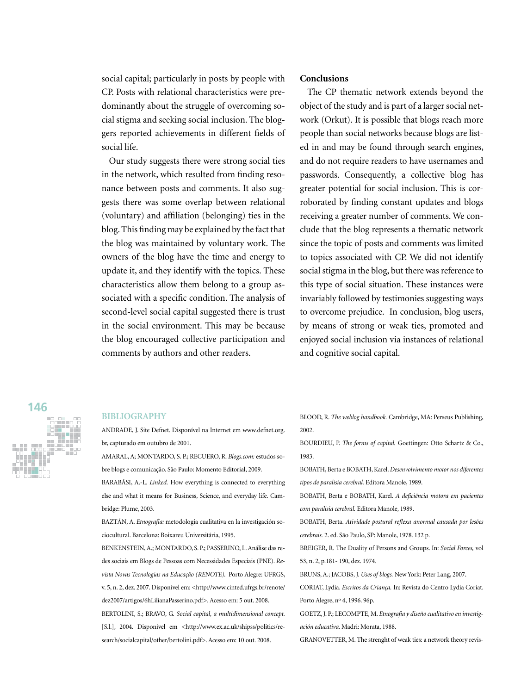social capital; particularly in posts by people with CP. Posts with relational characteristics were predominantly about the struggle of overcoming social stigma and seeking social inclusion. The bloggers reported achievements in different fields of social life.

Our study suggests there were strong social ties in the network, which resulted from finding resonance between posts and comments. It also suggests there was some overlap between relational (voluntary) and affiliation (belonging) ties in the blog. This finding may be explained by the fact that the blog was maintained by voluntary work. The owners of the blog have the time and energy to update it, and they identify with the topics. These characteristics allow them belong to a group associated with a specific condition. The analysis of second-level social capital suggested there is trust in the social environment. This may be because the blog encouraged collective participation and comments by authors and other readers.

## **Conclusions**

The CP thematic network extends beyond the object of the study and is part of a larger social network (Orkut). It is possible that blogs reach more people than social networks because blogs are listed in and may be found through search engines, and do not require readers to have usernames and passwords. Consequently, a collective blog has greater potential for social inclusion. This is corroborated by finding constant updates and blogs receiving a greater number of comments. We conclude that the blog represents a thematic network since the topic of posts and comments was limited to topics associated with CP. We did not identify social stigma in the blog, but there was reference to this type of social situation. These instances were invariably followed by testimonies suggesting ways to overcome prejudice. In conclusion, blog users, by means of strong or weak ties, promoted and enjoyed social inclusion via instances of relational and cognitive social capital.

# **146**

#### **BIBLIOGRAPHY**

ANDRADE, J. Site Defnet. Disponível na Internet em www.defnet.org. br, capturado em outubro de 2001.

AMARAL, A; MONTARDO, S. P.; RECUERO, R. *Blogs.com:* estudos sobre blogs e comunicação. São Paulo: Momento Editorial, 2009.

BARABÁSI, A.-L. *Linked.* How everything is connected to everything else and what it means for Business, Science, and everyday life. Cambridge: Plume, 2003.

BAZTÁN, A. *Etnografía:* metodologia cualitativa en la investigación sociocultural. Barcelona: Boixareu Universitária, 1995.

BENKENSTEIN, A.; MONTARDO, S. P.; PASSERINO, L. Análise das redes sociais em Blogs de Pessoas com Necessidades Especiais (PNE). *Revista Novas Tecnologias na Educação (RENOTE).*Porto Alegre: UFRGS, v. 5, n. 2, dez. 2007. Disponível em: <http://www.cinted.ufrgs.br/renote/ dez2007/artigos/6hLilianaPasserino.pdf>. Acesso em: 5 out. 2008. BERTOLINI, S.; BRAVO, G*. Social capital, a multidimensional concept.*  [S.l.], 2004. Disponível em <http://www.ex.ac.uk/shipss/politics/research/socialcapital/other/bertolini.pdf>. Acesso em: 10 out. 2008.

BLOOD, R. *The weblog handbook.* Cambridge, MA: Perseus Publishing, 2002.

BOURDIEU, P. *The forms of capital.* Goettingen: Otto Schartz & Co., 1983.

BOBATH, Berta e BOBATH, Karel. *Desenvolvimento motor nos diferentes tipos de paralisia cerebral.* Editora Manole, 1989.

BOBATH, Berta e BOBATH, Karel. *A deficiência motora em pacientes com paralisia cerebral.* Editora Manole, 1989.

BOBATH, Berta. *Atividade postural reflexa anormal causada por lesões cerebrais.* 2. ed. São Paulo, SP: Manole, 1978. 132 p.

BREIGER, R. The Duality of Persons and Groups. In: *Social Forces,* vol 53, n. 2, p.181- 190, dez. 1974.

BRUNS, A.; JACOBS, J. *Uses of blogs.* New York: Peter Lang, 2007.

CORIAT, Lydia. *Escritos da Criança.* In: Revista do Centro Lydia Coriat. Porto Alegre, nº 4, 1996. 96p.

GOETZ, J. P.; LECOMPTE, M. *Etnografia y diseño cualitativo en investigación educativa.* Madri: Morata, 1988.

GRANOVETTER, M. The strenght of weak ties: a network theory revis-